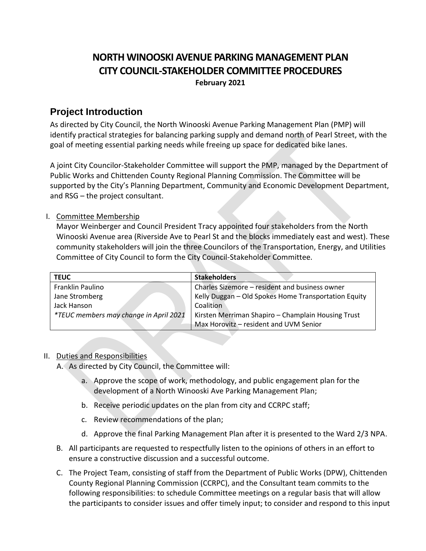# **NORTH WINOOSKI AVENUE PARKING MANAGEMENT PLAN CITY COUNCIL-STAKEHOLDER COMMITTEE PROCEDURES February 2021**

## **Project Introduction**

As directed by City Council, the North Winooski Avenue Parking Management Plan (PMP) will identify practical strategies for balancing parking supply and demand north of Pearl Street, with the goal of meeting essential parking needs while freeing up space for dedicated bike lanes.

A joint City Councilor-Stakeholder Committee will support the PMP, managed by the Department of Public Works and Chittenden County Regional Planning Commission. The Committee will be supported by the City's Planning Department, Community and Economic Development Department, and RSG – the project consultant.

## I. Committee Membership

Mayor Weinberger and Council President Tracy appointed four stakeholders from the North Winooski Avenue area (Riverside Ave to Pearl St and the blocks immediately east and west). These community stakeholders will join the three Councilors of the Transportation, Energy, and Utilities Committee of City Council to form the City Council-Stakeholder Committee.

| <b>TEUC</b>                                   | <b>Stakeholders</b>                                  |
|-----------------------------------------------|------------------------------------------------------|
| Franklin Paulino                              | Charles Sizemore - resident and business owner       |
| Jane Stromberg                                | Kelly Duggan - Old Spokes Home Transportation Equity |
| Jack Hanson                                   | Coalition                                            |
| <i>*TEUC members may change in April 2021</i> | Kirsten Merriman Shapiro - Champlain Housing Trust   |
|                                               | Max Horovitz - resident and UVM Senior               |

## II. Duties and Responsibilities

A. As directed by City Council, the Committee will:

- a. Approve the scope of work, methodology, and public engagement plan for the development of a North Winooski Ave Parking Management Plan;
- b. Receive periodic updates on the plan from city and CCRPC staff;
- c. Review recommendations of the plan;
- d. Approve the final Parking Management Plan after it is presented to the Ward 2/3 NPA.
- B. All participants are requested to respectfully listen to the opinions of others in an effort to ensure a constructive discussion and a successful outcome.
- C. The Project Team, consisting of staff from the Department of Public Works (DPW), Chittenden County Regional Planning Commission (CCRPC), and the Consultant team commits to the following responsibilities: to schedule Committee meetings on a regular basis that will allow the participants to consider issues and offer timely input; to consider and respond to this input